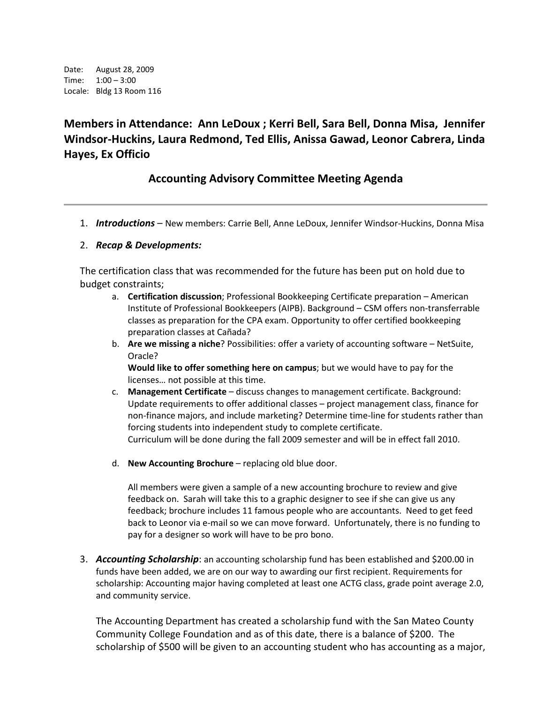Date: August 28, 2009 Time: 1:00 – 3:00 Locale: Bldg 13 Room 116

**Members in Attendance: Ann LeDoux ; Kerri Bell, Sara Bell, Donna Misa, Jennifer Windsor-Huckins, Laura Redmond, Ted Ellis, Anissa Gawad, Leonor Cabrera, Linda Hayes, Ex Officio**

# **Accounting Advisory Committee Meeting Agenda**

1. *Introductions* – New members: Carrie Bell, Anne LeDoux, Jennifer Windsor-Huckins, Donna Misa

### 2. *Recap & Developments:*

The certification class that was recommended for the future has been put on hold due to budget constraints;

- a. **Certification discussion**; Professional Bookkeeping Certificate preparation American Institute of Professional Bookkeepers (AIPB). Background – CSM offers non-transferrable classes as preparation for the CPA exam. Opportunity to offer certified bookkeeping preparation classes at Cañada?
- b. **Are we missing a niche**? Possibilities: offer a variety of accounting software NetSuite, Oracle?

**Would like to offer something here on campus**; but we would have to pay for the licenses… not possible at this time.

- c. **Management Certificate** discuss changes to management certificate. Background: Update requirements to offer additional classes – project management class, finance for non-finance majors, and include marketing? Determine time-line for students rather than forcing students into independent study to complete certificate. Curriculum will be done during the fall 2009 semester and will be in effect fall 2010.
- d. **New Accounting Brochure** replacing old blue door.

All members were given a sample of a new accounting brochure to review and give feedback on. Sarah will take this to a graphic designer to see if she can give us any feedback; brochure includes 11 famous people who are accountants. Need to get feed back to Leonor via e-mail so we can move forward. Unfortunately, there is no funding to pay for a designer so work will have to be pro bono.

3. *Accounting Scholarship*: an accounting scholarship fund has been established and \$200.00 in funds have been added, we are on our way to awarding our first recipient. Requirements for scholarship: Accounting major having completed at least one ACTG class, grade point average 2.0, and community service.

The Accounting Department has created a scholarship fund with the San Mateo County Community College Foundation and as of this date, there is a balance of \$200. The scholarship of \$500 will be given to an accounting student who has accounting as a major,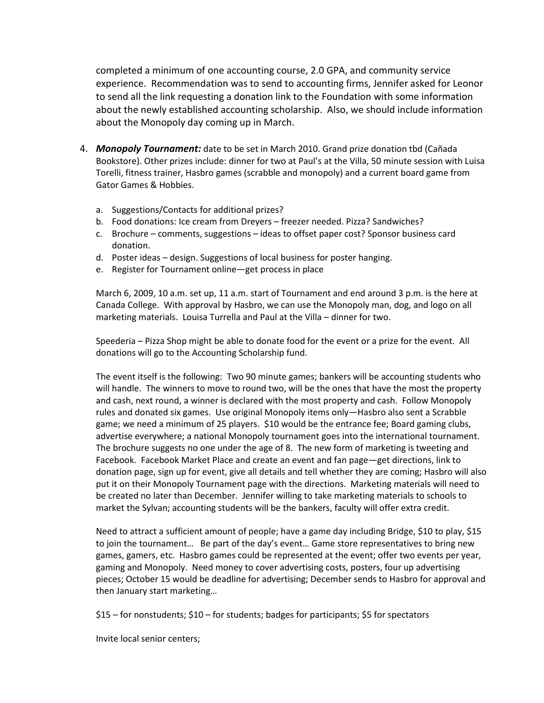completed a minimum of one accounting course, 2.0 GPA, and community service experience. Recommendation was to send to accounting firms, Jennifer asked for Leonor to send all the link requesting a donation link to the Foundation with some information about the newly established accounting scholarship. Also, we should include information about the Monopoly day coming up in March.

- 4. *Monopoly Tournament:* date to be set in March 2010. Grand prize donation tbd (Cañada Bookstore). Other prizes include: dinner for two at Paul's at the Villa, 50 minute session with Luisa Torelli, fitness trainer, Hasbro games (scrabble and monopoly) and a current board game from Gator Games & Hobbies.
	- a. Suggestions/Contacts for additional prizes?
	- b. Food donations: Ice cream from Dreyers freezer needed. Pizza? Sandwiches?
	- c. Brochure comments, suggestions ideas to offset paper cost? Sponsor business card donation.
	- d. Poster ideas design. Suggestions of local business for poster hanging.
	- e. Register for Tournament online—get process in place

March 6, 2009, 10 a.m. set up, 11 a.m. start of Tournament and end around 3 p.m. is the here at Canada College. With approval by Hasbro, we can use the Monopoly man, dog, and logo on all marketing materials. Louisa Turrella and Paul at the Villa – dinner for two.

Speederia – Pizza Shop might be able to donate food for the event or a prize for the event. All donations will go to the Accounting Scholarship fund.

The event itself is the following: Two 90 minute games; bankers will be accounting students who will handle. The winners to move to round two, will be the ones that have the most the property and cash, next round, a winner is declared with the most property and cash. Follow Monopoly rules and donated six games. Use original Monopoly items only—Hasbro also sent a Scrabble game; we need a minimum of 25 players. \$10 would be the entrance fee; Board gaming clubs, advertise everywhere; a national Monopoly tournament goes into the international tournament. The brochure suggests no one under the age of 8. The new form of marketing is tweeting and Facebook. Facebook Market Place and create an event and fan page—get directions, link to donation page, sign up for event, give all details and tell whether they are coming; Hasbro will also put it on their Monopoly Tournament page with the directions. Marketing materials will need to be created no later than December. Jennifer willing to take marketing materials to schools to market the Sylvan; accounting students will be the bankers, faculty will offer extra credit.

Need to attract a sufficient amount of people; have a game day including Bridge, \$10 to play, \$15 to join the tournament… Be part of the day's event… Game store representatives to bring new games, gamers, etc. Hasbro games could be represented at the event; offer two events per year, gaming and Monopoly. Need money to cover advertising costs, posters, four up advertising pieces; October 15 would be deadline for advertising; December sends to Hasbro for approval and then January start marketing…

\$15 – for nonstudents; \$10 – for students; badges for participants; \$5 for spectators

Invite local senior centers;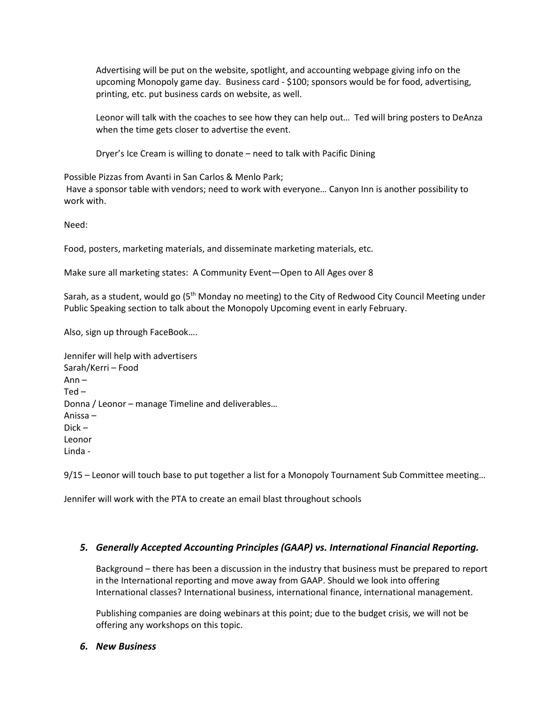Advertising will be put on the website, spotlight, and accounting webpage giving info on the upcoming Monopoly game day. Business card - \$100; sponsors would be for food, advertising, printing, etc. put business cards on website, as well.

Leonor will talk with the coaches to see how they can help out… Ted will bring posters to DeAnza when the time gets closer to advertise the event.

Dryer's Ice Cream is willing to donate – need to talk with Pacific Dining

Possible Pizzas from Avanti in San Carlos & Menlo Park;

Have a sponsor table with vendors; need to work with everyone… Canyon Inn is another possibility to work with.

Need:

Food, posters, marketing materials, and disseminate marketing materials, etc.

Make sure all marketing states: A Community Event—Open to All Ages over 8

Sarah, as a student, would go (5<sup>th</sup> Monday no meeting) to the City of Redwood City Council Meeting under Public Speaking section to talk about the Monopoly Upcoming event in early February.

Also, sign up through FaceBook….

Jennifer will help with advertisers Sarah/Kerri – Food Ann –  $Ted -$ Donna / Leonor – manage Timeline and deliverables… Anissa – Dick – Leonor Linda -

9/15 – Leonor will touch base to put together a list for a Monopoly Tournament Sub Committee meeting...

Jennifer will work with the PTA to create an email blast throughout schools

# *5. Generally Accepted Accounting Principles (GAAP) vs. International Financial Reporting.*

Background – there has been a discussion in the industry that business must be prepared to report in the International reporting and move away from GAAP. Should we look into offering International classes? International business, international finance, international management.

Publishing companies are doing webinars at this point; due to the budget crisis, we will not be offering any workshops on this topic.

#### *6. New Business*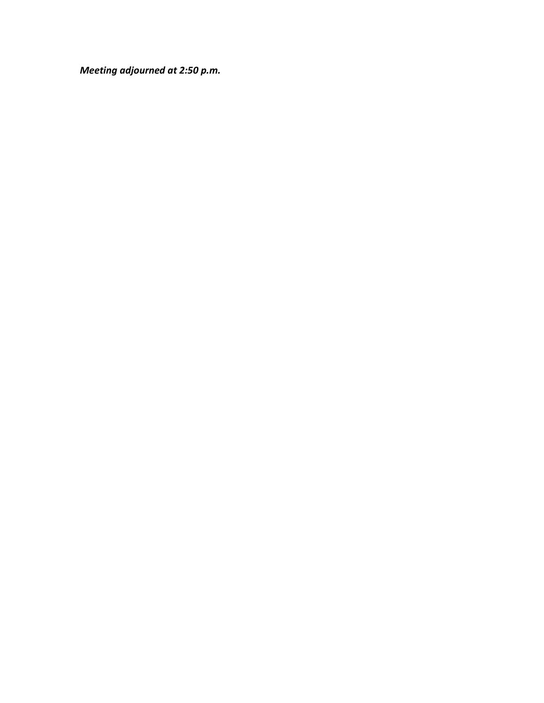*Meeting adjourned at 2:50 p.m.*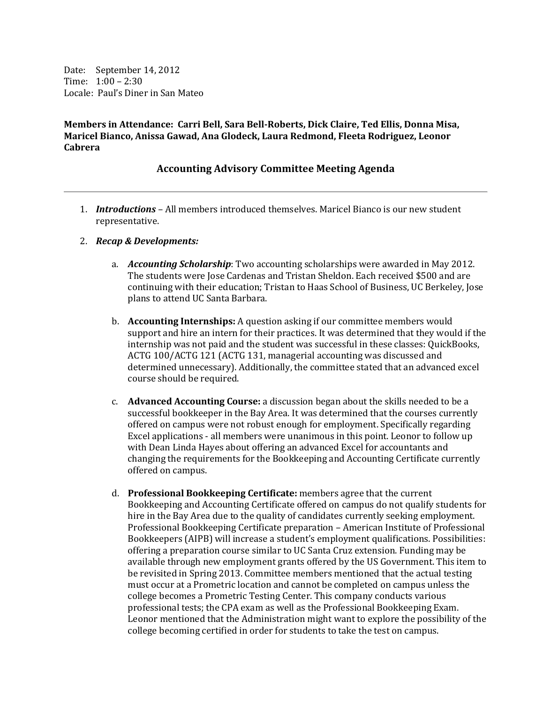Date: September 14, 2012 Time: 1:00 – 2:30 Locale: Paul's Diner in San Mateo

**Members in Attendance: Carri Bell, Sara Bell-Roberts, Dick Claire, Ted Ellis, Donna Misa, Maricel Bianco, Anissa Gawad, Ana Glodeck, Laura Redmond, Fleeta Rodriguez, Leonor Cabrera**

## **Accounting Advisory Committee Meeting Agenda**

- 1. *Introductions* All members introduced themselves. Maricel Bianco is our new student representative.
- 2. *Recap & Developments:*
	- a. *Accounting Scholarship*: Two accounting scholarships were awarded in May 2012. The students were Jose Cardenas and Tristan Sheldon. Each received \$500 and are continuing with their education; Tristan to Haas School of Business, UC Berkeley, Jose plans to attend UC Santa Barbara.
	- b. **Accounting Internships:** A question asking if our committee members would support and hire an intern for their practices. It was determined that they would if the internship was not paid and the student was successful in these classes: QuickBooks, ACTG 100/ACTG 121 (ACTG 131, managerial accounting was discussed and determined unnecessary). Additionally, the committee stated that an advanced excel course should be required.
	- c. **Advanced Accounting Course:** a discussion began about the skills needed to be a successful bookkeeper in the Bay Area. It was determined that the courses currently offered on campus were not robust enough for employment. Specifically regarding Excel applications - all members were unanimous in this point. Leonor to follow up with Dean Linda Hayes about offering an advanced Excel for accountants and changing the requirements for the Bookkeeping and Accounting Certificate currently offered on campus.
	- d. **Professional Bookkeeping Certificate:** members agree that the current Bookkeeping and Accounting Certificate offered on campus do not qualify students for hire in the Bay Area due to the quality of candidates currently seeking employment. Professional Bookkeeping Certificate preparation – American Institute of Professional Bookkeepers (AIPB) will increase a student's employment qualifications. Possibilities: offering a preparation course similar to UC Santa Cruz extension. Funding may be available through new employment grants offered by the US Government. This item to be revisited in Spring 2013. Committee members mentioned that the actual testing must occur at a Prometric location and cannot be completed on campus unless the college becomes a Prometric Testing Center. This company conducts various professional tests; the CPA exam as well as the Professional Bookkeeping Exam. Leonor mentioned that the Administration might want to explore the possibility of the college becoming certified in order for students to take the test on campus.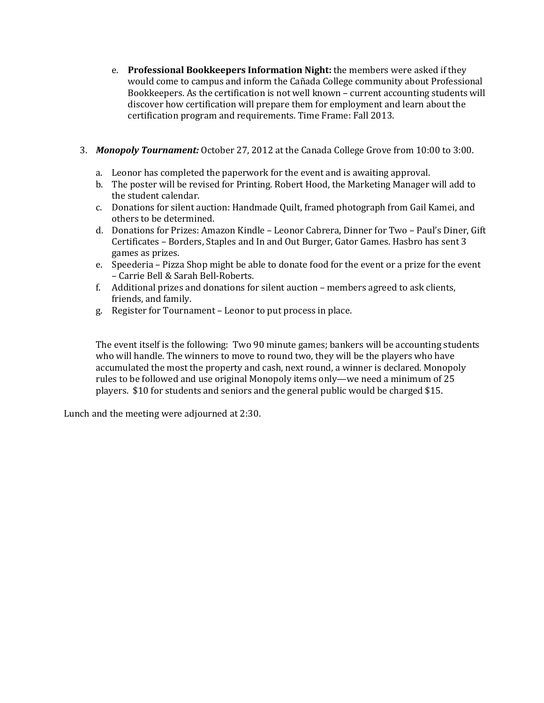- e. **Professional Bookkeepers Information Night:** the members were asked if they would come to campus and inform the Cañada College community about Professional Bookkeepers. As the certification is not well known – current accounting students will discover how certification will prepare them for employment and learn about the certification program and requirements. Time Frame: Fall 2013.
- 3. *Monopoly Tournament:* October 27, 2012 at the Canada College Grove from 10:00 to 3:00.
	- a. Leonor has completed the paperwork for the event and is awaiting approval.
	- b. The poster will be revised for Printing. Robert Hood, the Marketing Manager will add to the student calendar.
	- c. Donations for silent auction: Handmade Quilt, framed photograph from Gail Kamei, and others to be determined.
	- d. Donations for Prizes: Amazon Kindle Leonor Cabrera, Dinner for Two Paul's Diner, Gift Certificates – Borders, Staples and In and Out Burger, Gator Games. Hasbro has sent 3 games as prizes.
	- e. Speederia Pizza Shop might be able to donate food for the event or a prize for the event – Carrie Bell & Sarah Bell-Roberts.
	- f. Additional prizes and donations for silent auction members agreed to ask clients, friends, and family.
	- g. Register for Tournament Leonor to put process in place.

The event itself is the following: Two 90 minute games; bankers will be accounting students who will handle. The winners to move to round two, they will be the players who have accumulated the most the property and cash, next round, a winner is declared. Monopoly rules to be followed and use original Monopoly items only—we need a minimum of 25 players. \$10 for students and seniors and the general public would be charged \$15.

Lunch and the meeting were adjourned at 2:30.